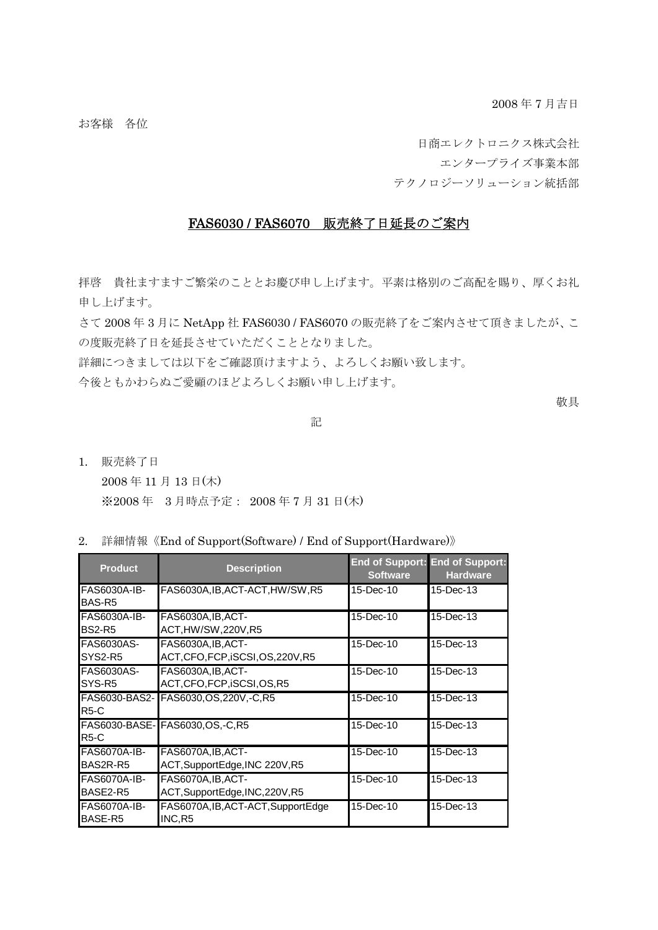2008 年 7 月吉日

お客様 各位

日商エレクトロニクス株式会社 エンタープライズ事業本部

テクノロジーソリューション統括部

## FAS6030 / FAS6070 販売終了日延長のご案内

拝啓 貴社ますますご繁栄のこととお慶び申し上げます。平素は格別のご高配を賜り、厚くお礼 申し上げます。

さて 2008 年 3 月に NetApp 社 FAS6030 / FAS6070 の販売終了をご案内させて頂きましたが、こ の度販売終了日を延長させていただくこととなりました。

詳細につきましては以下をご確認頂けますよう、よろしくお願い致します。

今後ともかわらぬご愛顧のほどよろしくお願い申し上げます。

敬具

## アンディア アクセス しんしょう しんしょう こうしょう 記

- 1. 販売終了日 2008 年 11 月 13 日(木) ※2008 年 3 月時点予定: 2008 年 7 月 31 日(木)
- 2. 詳細情報《End of Support(Software) / End of Support(Hardware)》

| <b>Product</b>                          | <b>Description</b>                                   | <b>Software</b> | <b>End of Support: End of Support:</b><br><b>Hardware</b> |
|-----------------------------------------|------------------------------------------------------|-----------------|-----------------------------------------------------------|
| FAS6030A-IB-<br>BAS-R <sub>5</sub>      | FAS6030A, IB, ACT-ACT, HW/SW, R5                     | 15-Dec-10       | 15-Dec-13                                                 |
| <b>FAS6030A-IB-</b><br><b>BS2-R5</b>    | FAS6030A, IB, ACT-<br>ACT,HW/SW,220V,R5              | 15-Dec-10       | 15-Dec-13                                                 |
| <b>FAS6030AS-</b><br>SYS2-R5            | FAS6030A, IB, ACT-<br>ACT,CFO,FCP,iSCSI,OS,220V,R5   | 15-Dec-10       | 15-Dec-13                                                 |
| <b>FAS6030AS-</b><br>SYS-R <sub>5</sub> | FAS6030A, IB, ACT-<br>ACT,CFO,FCP,iSCSI,OS,R5        | 15-Dec-10       | 15-Dec-13                                                 |
| <b>R5-C</b>                             | FAS6030-BAS2- FAS6030, OS, 220V, -C, R5              | 15-Dec-10       | 15-Dec-13                                                 |
| <b>R5-C</b>                             | FAS6030-BASE- FAS6030,OS,-C,R5                       | 15-Dec-10       | 15-Dec-13                                                 |
| FAS6070A-IB-<br>BAS2R-R5                | FAS6070A, IB, ACT-<br>ACT, SupportEdge, INC 220V, R5 | 15-Dec-10       | 15-Dec-13                                                 |
| FAS6070A-IB-<br>BASE2-R5                | FAS6070A, IB, ACT-<br>ACT,SupportEdge,INC,220V,R5    | 15-Dec-10       | 15-Dec-13                                                 |
| <b>FAS6070A-IB-</b><br>BASE-R5          | FAS6070A,IB,ACT-ACT,SupportEdge<br>INC, R5           | 15-Dec-10       | 15-Dec-13                                                 |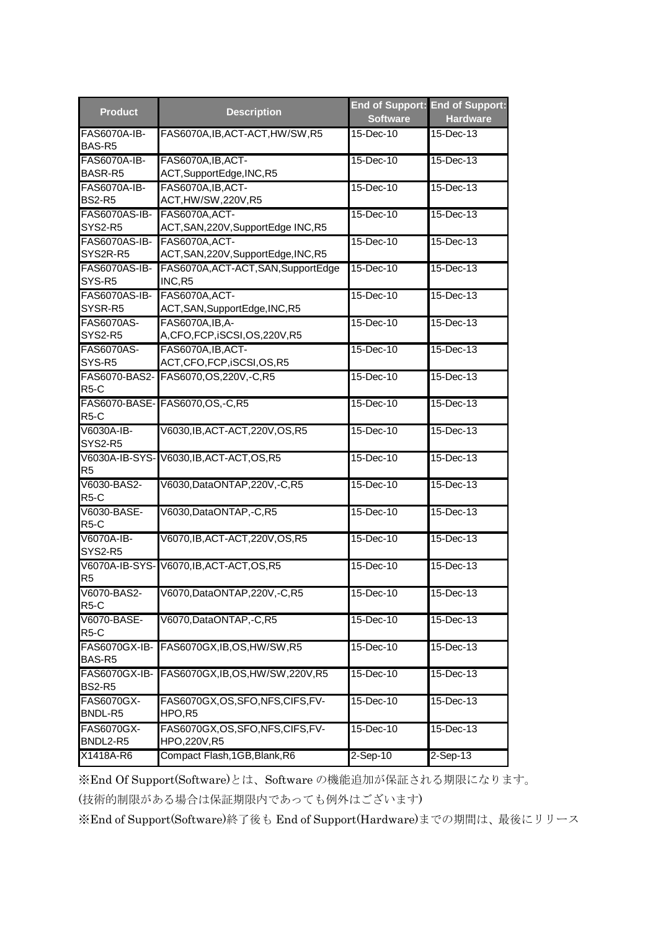| <b>Product</b>                       | <b>Description</b>                                     | <b>Software</b> | End of Support: End of Support:<br><b>Hardware</b> |
|--------------------------------------|--------------------------------------------------------|-----------------|----------------------------------------------------|
| FAS6070A-IB-<br>BAS-R <sub>5</sub>   | FAS6070A, IB, ACT-ACT, HW/SW, R5                       | 15-Dec-10       | 15-Dec-13                                          |
| <b>FAS6070A-IB-</b><br>BASR-R5       | FAS6070A, IB, ACT-<br>ACT, SupportEdge, INC, R5        | 15-Dec-10       | 15-Dec-13                                          |
| <b>FAS6070A-IB-</b><br><b>BS2-R5</b> | FAS6070A, IB, ACT-<br>ACT, HW/SW, 220V, R5             | 15-Dec-10       | 15-Dec-13                                          |
| FAS6070AS-IB-<br>SYS2-R5             | FAS6070A, ACT-<br>ACT, SAN, 220V, SupportEdge INC, R5  | 15-Dec-10       | 15-Dec-13                                          |
| <b>FAS6070AS-IB-</b><br>SYS2R-R5     | FAS6070A, ACT-<br>ACT, SAN, 220V, SupportEdge, INC, R5 | 15-Dec-10       | 15-Dec-13                                          |
| <b>FAS6070AS-IB-</b><br>SYS-R5       | FAS6070A, ACT-ACT, SAN, SupportEdge<br>INC,R5          | 15-Dec-10       | 15-Dec-13                                          |
| <b>FAS6070AS-IB-</b><br>SYSR-R5      | FAS6070A, ACT-<br>ACT, SAN, SupportEdge, INC, R5       | 15-Dec-10       | 15-Dec-13                                          |
| <b>FAS6070AS-</b><br>SYS2-R5         | FAS6070A, IB, A-<br>A,CFO,FCP,iSCSI,OS,220V,R5         | 15-Dec-10       | 15-Dec-13                                          |
| <b>FAS6070AS-</b><br>SYS-R5          | FAS6070A, IB, ACT-<br>ACT, CFO, FCP, iSCSI, OS, R5     | 15-Dec-10       | 15-Dec-13                                          |
| $R5-C$                               | FAS6070-BAS2- FAS6070.OS.220V,-C,R5                    | 15-Dec-10       | 15-Dec-13                                          |
| $R5-C$                               | FAS6070-BASE- FAS6070, OS, -C, R5                      | 15-Dec-10       | $15 - Dec-13$                                      |
| V6030A-IB-<br>SYS2-R5                | V6030, IB, ACT-ACT, 220V, OS, R5                       | 15-Dec-10       | 15-Dec-13                                          |
| R <sub>5</sub>                       | V6030A-IB-SYS-V6030, IB, ACT-ACT, OS, R5               | 15-Dec-10       | 15-Dec-13                                          |
| V6030-BAS2-<br>R <sub>5</sub> -C     | V6030, DataONTAP, 220V, -C, R5                         | 15-Dec-10       | 15-Dec-13                                          |
| V6030-BASE-<br>R <sub>5</sub> -C     | V6030, DataONTAP, -C, R5                               | 15-Dec-10       | 15-Dec-13                                          |
| V6070A-IB-<br>SYS2-R5                | V6070, IB, ACT-ACT, 220V, OS, R5                       | 15-Dec-10       | 15-Dec-13                                          |
| R <sub>5</sub>                       | V6070A-IB-SYS-V6070, IB, ACT-ACT, OS, R5               | 15-Dec-10       | 15-Dec-13                                          |
| V6070-BAS2-<br>$R5-C$                | V6070,DataONTAP,220V,-C,R5                             | 15-Dec-10       | 15-Dec-13                                          |
| V6070-BASE-<br><b>R5-C</b>           | V6070, DataONTAP, -C, R5                               | $15$ -Dec-10    | 15-Dec-13                                          |
| FAS6070GX-IB-<br>BAS-R5              | FAS6070GX, IB, OS, HW/SW, R5                           | 15-Dec-10       | 15-Dec-13                                          |
| FAS6070GX-IB-<br><b>BS2-R5</b>       | FAS6070GX,IB,OS,HW/SW,220V,R5                          | 15-Dec-10       | 15-Dec-13                                          |
| <b>FAS6070GX-</b><br>BNDL-R5         | FAS6070GX,OS,SFO,NFS,CIFS,FV-<br>HPO,R5                | 15-Dec-10       | $15$ -Dec-13                                       |
| <b>FAS6070GX-</b><br>BNDL2-R5        | FAS6070GX, OS, SFO, NFS, CIFS, FV-<br>HPO,220V,R5      | 15-Dec-10       | $15$ -Dec-13                                       |
| X1418A-R6                            | Compact Flash, 1GB, Blank, R6                          | $2-$ Sep-10     | $2-Sep-13$                                         |

※End Of Support(Software)とは、Software の機能追加が保証される期限になります。

(技術的制限がある場合は保証期限内であっても例外はございます)

※End of Support(Software)終了後も End of Support(Hardware)までの期間は、最後にリリース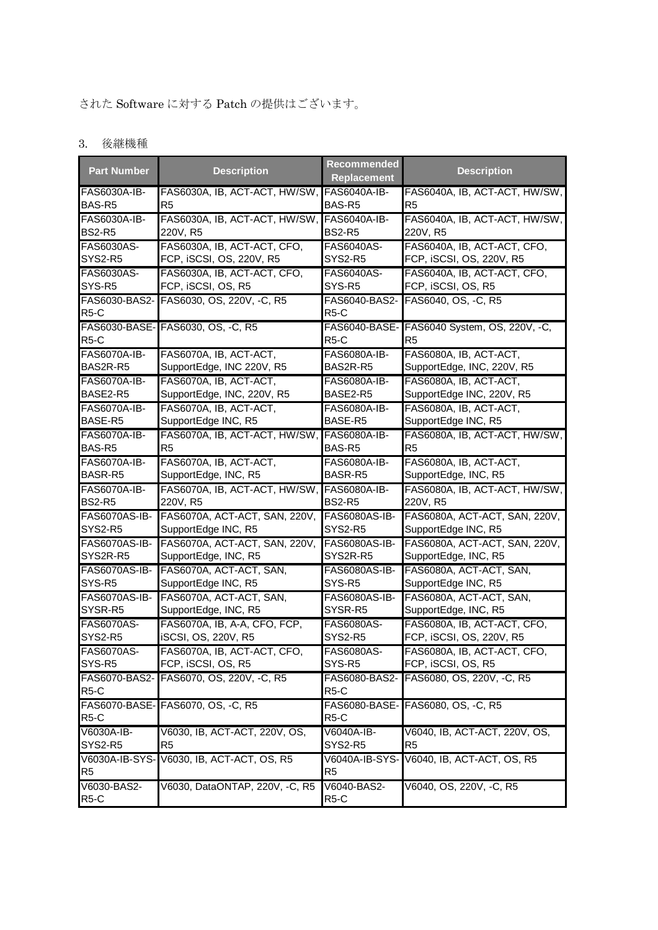## された Software に対する Patch の提供はございます。

## 3. 後継機種

| <b>Part Number</b>               | <b>Description</b>                        | <b>Recommended</b><br><b>Replacement</b> | <b>Description</b>                                            |
|----------------------------------|-------------------------------------------|------------------------------------------|---------------------------------------------------------------|
| FAS6030A-IB-                     | FAS6030A, IB, ACT-ACT, HW/SW,             | <b>FAS6040A-IB-</b>                      | FAS6040A, IB, ACT-ACT, HW/SW,                                 |
| BAS-R5                           | R <sub>5</sub>                            | BAS-R5                                   | R <sub>5</sub>                                                |
| FAS6030A-IB-                     | FAS6030A, IB, ACT-ACT, HW/SW,             | <b>FAS6040A-IB-</b>                      | FAS6040A, IB, ACT-ACT, HW/SW,                                 |
| <b>BS2-R5</b>                    | 220V, R5                                  | <b>BS2-R5</b>                            | 220V, R5                                                      |
| FAS6030AS-                       | FAS6030A, IB, ACT-ACT, CFO,               | <b>FAS6040AS-</b>                        | FAS6040A, IB, ACT-ACT, CFO,                                   |
| SYS2-R5                          | FCP, iSCSI, OS, 220V, R5                  | SYS2-R5                                  | FCP, iSCSI, OS, 220V, R5                                      |
| <b>FAS6030AS-</b>                | FAS6030A, IB, ACT-ACT, CFO,               | <b>FAS6040AS-</b>                        | FAS6040A, IB, ACT-ACT, CFO,                                   |
| SYS-R5                           | FCP, iSCSI, OS, R5                        | SYS-R5                                   | FCP, iSCSI, OS, R5                                            |
| R <sub>5</sub> -C                | FAS6030-BAS2- FAS6030, OS, 220V, -C, R5   | FAS6040-BAS2-<br>R <sub>5</sub> -C       | FAS6040, OS, -C, R5                                           |
| $R5-C$                           | FAS6030-BASE- FAS6030, OS, -C, R5         | R5-C                                     | FAS6040-BASE- FAS6040 System, OS, 220V, -C,<br>R <sub>5</sub> |
| <b>FAS6070A-IB-</b>              | FAS6070A, IB, ACT-ACT,                    | FAS6080A-IB-                             | FAS6080A, IB, ACT-ACT,                                        |
| BAS2R-R5                         | SupportEdge, INC 220V, R5                 | BAS2R-R5                                 | SupportEdge, INC, 220V, R5                                    |
| <b>FAS6070A-IB-</b>              | FAS6070A, IB, ACT-ACT,                    | FAS6080A-IB-                             | FAS6080A, IB, ACT-ACT,                                        |
| BASE2-R5                         | SupportEdge, INC, 220V, R5                | BASE2-R5                                 | SupportEdge INC, 220V, R5                                     |
| <b>FAS6070A-IB-</b>              | FAS6070A, IB, ACT-ACT,                    | FAS6080A-IB-                             | FAS6080A, IB, ACT-ACT,                                        |
| BASE-R5                          | SupportEdge INC, R5                       | BASE-R5                                  | SupportEdge INC, R5                                           |
| <b>FAS6070A-IB-</b>              | FAS6070A, IB, ACT-ACT, HW/SW,             | <b>FAS6080A-IB-</b>                      | FAS6080A, IB, ACT-ACT, HW/SW,                                 |
| BAS-R5                           | R <sub>5</sub>                            | BAS-R5                                   | R <sub>5</sub>                                                |
| <b>FAS6070A-IB-</b>              | FAS6070A, IB, ACT-ACT,                    | <b>FAS6080A-IB-</b>                      | FAS6080A, IB, ACT-ACT,                                        |
| BASR-R5                          | SupportEdge, INC, R5                      | BASR-R5                                  | SupportEdge, INC, R5                                          |
| <b>FAS6070A-IB-</b>              | FAS6070A, IB, ACT-ACT, HW/SW,             | <b>FAS6080A-IB-</b>                      | FAS6080A, IB, ACT-ACT, HW/SW,                                 |
| <b>BS2-R5</b>                    | 220V, R5                                  | <b>BS2-R5</b>                            | 220V, R5                                                      |
| FAS6070AS-IB-                    | FAS6070A, ACT-ACT, SAN, 220V,             | FAS6080AS-IB-                            | FAS6080A, ACT-ACT, SAN, 220V,                                 |
| SYS2-R5                          | SupportEdge INC, R5                       | SYS2-R5                                  | SupportEdge INC, R5                                           |
| FAS6070AS-IB-                    | FAS6070A, ACT-ACT, SAN, 220V,             | FAS6080AS-IB-                            | FAS6080A, ACT-ACT, SAN, 220V,                                 |
| SYS2R-R5                         | SupportEdge, INC, R5                      | SYS2R-R5                                 | SupportEdge, INC, R5                                          |
| FAS6070AS-IB-                    | FAS6070A, ACT-ACT, SAN,                   | FAS6080AS-IB-                            | FAS6080A, ACT-ACT, SAN,                                       |
| SYS-R5                           | SupportEdge INC, R5                       | SYS-R5                                   | SupportEdge INC, R5                                           |
| FAS6070AS-IB-                    | FAS6070A, ACT-ACT, SAN,                   | FAS6080AS-IB-                            | FAS6080A, ACT-ACT, SAN,                                       |
| SYSR-R5                          | SupportEdge, INC, R5                      | SYSR-R5                                  | SupportEdge, INC, R5                                          |
| <b>FAS6070AS-</b>                | FAS6070A, IB, A-A, CFO, FCP,              | FAS6080AS-                               | FAS6080A, IB, ACT-ACT, CFO,                                   |
| SYS2-R5                          | iSCSI, OS, 220V, R5                       | SYS2-R5                                  | FCP, iSCSI, OS, 220V, R5                                      |
| <b>FAS6070AS-</b>                | FAS6070A, IB, ACT-ACT, CFO,               | FAS6080AS-                               | FAS6080A, IB, ACT-ACT, CFO                                    |
| SYS-R5                           | FCP, iSCSI, OS, R5                        | SYS-R5                                   | FCP, iSCSI, OS, R5                                            |
| R <sub>5</sub> -C                | FAS6070-BAS2- FAS6070, OS, 220V, -C, R5   | FAS6080-BAS2-<br>R <sub>5</sub> -C       | FAS6080, OS, 220V, -C, R5                                     |
| R <sub>5</sub> -C                | FAS6070-BASE- FAS6070, OS, -C, R5         | R <sub>5</sub> -C                        | FAS6080-BASE- FAS6080, OS, -C, R5                             |
| V6030A-IB-                       | V6030, IB, ACT-ACT, 220V, OS,             | V6040A-IB-                               | V6040, IB, ACT-ACT, 220V, OS,                                 |
| SYS2-R5                          | R <sub>5</sub>                            | SYS2-R5                                  | R <sub>5</sub>                                                |
| R <sub>5</sub>                   | V6030A-IB-SYS- V6030, IB, ACT-ACT, OS, R5 | R <sub>5</sub>                           | V6040A-IB-SYS- V6040, IB, ACT-ACT, OS, R5                     |
| V6030-BAS2-<br>R <sub>5</sub> -C | V6030, DataONTAP, 220V, -C, R5            | V6040-BAS2-<br>R <sub>5</sub> -C         | V6040, OS, 220V, -C, R5                                       |